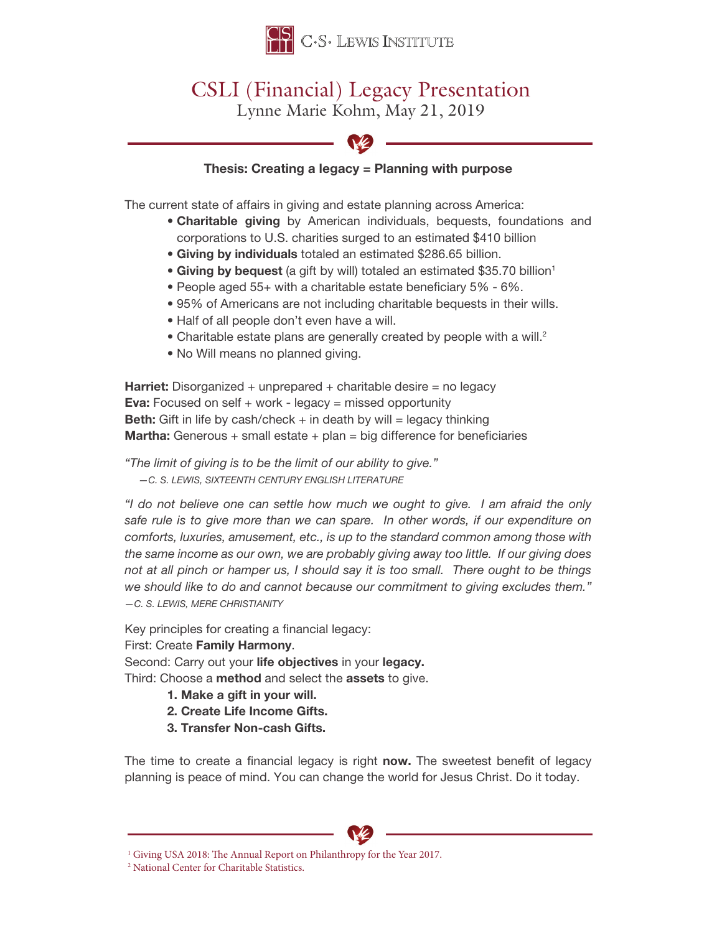

## CSLI (Financial) Legacy Presentation

Lynne Marie Kohm, May 21, 2019



## Thesis: Creating a legacy = Planning with purpose

The current state of affairs in giving and estate planning across America:

- Charitable giving by American individuals, bequests, foundations and corporations to U.S. charities surged to an estimated \$410 billion
- Giving by individuals totaled an estimated \$286.65 billion.
- Giving by bequest (a gift by will) totaled an estimated \$35.70 billion<sup>1</sup>
- People aged 55+ with a charitable estate beneficiary 5% 6%.
- 95% of Americans are not including charitable bequests in their wills.
- Half of all people don't even have a will.
- Charitable estate plans are generally created by people with a will.<sup>2</sup>
- No Will means no planned giving.

**Harriet:** Disorganized + unprepared + charitable desire = no legacy **Eva:** Focused on self  $+$  work - legacy = missed opportunity **Beth:** Gift in life by cash/check  $+$  in death by will  $=$  legacy thinking **Martha:** Generous + small estate + plan = big difference for beneficiaries

*"The limit of giving is to be the limit of our ability to give." —C. S. LEWIS, SIXTEENTH CENTURY ENGLISH LITERATURE*

*"I do not believe one can settle how much we ought to give. I am afraid the only safe rule is to give more than we can spare. In other words, if our expenditure on comforts, luxuries, amusement, etc., is up to the standard common among those with the same income as our own, we are probably giving away too little. If our giving does not at all pinch or hamper us, I should say it is too small. There ought to be things we should like to do and cannot because our commitment to giving excludes them." —C. S. LEWIS, MERE CHRISTIANITY*

Key principles for creating a financial legacy:

First: Create Family Harmony.

Second: Carry out your life objectives in your legacy.

Third: Choose a method and select the assets to give.

- 1. Make a gift in your will.
- 2. Create Life Income Gifts.
- 3. Transfer Non-cash Gifts.

The time to create a financial legacy is right now. The sweetest benefit of legacy planning is peace of mind. You can change the world for Jesus Christ. Do it today.



<sup>2</sup> National Center for Charitable Statistics.